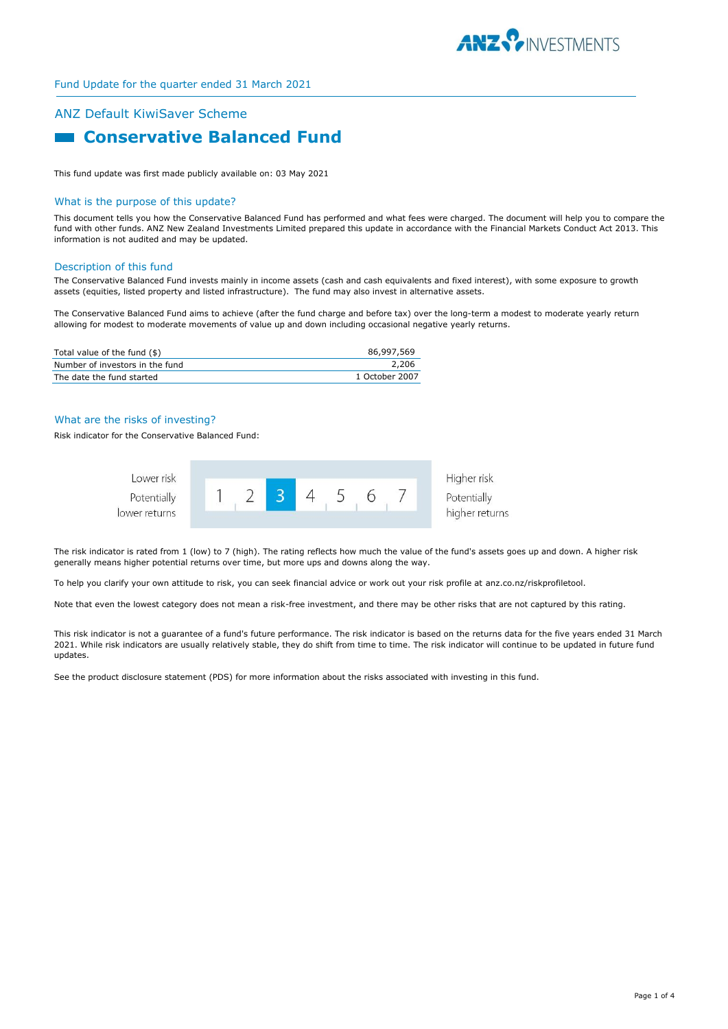

# ANZ Default KiwiSaver Scheme **Example 2 Conservative Balanced Fund**

This fund update was first made publicly available on: 03 May 2021

#### What is the purpose of this update?

This document tells you how the Conservative Balanced Fund has performed and what fees were charged. The document will help you to compare the fund with other funds. ANZ New Zealand Investments Limited prepared this update in accordance with the Financial Markets Conduct Act 2013. This information is not audited and may be updated.

#### Description of this fund

The Conservative Balanced Fund invests mainly in income assets (cash and cash equivalents and fixed interest), with some exposure to growth assets (equities, listed property and listed infrastructure). The fund may also invest in alternative assets.

The Conservative Balanced Fund aims to achieve (after the fund charge and before tax) over the long-term a modest to moderate yearly return allowing for modest to moderate movements of value up and down including occasional negative yearly returns.

| Total value of the fund (\$)    | 86,997,569     |
|---------------------------------|----------------|
| Number of investors in the fund | 2,206          |
| The date the fund started       | 1 October 2007 |

#### What are the risks of investing?

Risk indicator for the Conservative Balanced Fund:



The risk indicator is rated from 1 (low) to 7 (high). The rating reflects how much the value of the fund's assets goes up and down. A higher risk generally means higher potential returns over time, but more ups and downs along the way.

To help you clarify your own attitude to risk, you can seek financial advice or work out your risk profile at anz.co.nz/riskprofiletool.

Note that even the lowest category does not mean a risk-free investment, and there may be other risks that are not captured by this rating.

This risk indicator is not a guarantee of a fund's future performance. The risk indicator is based on the returns data for the five years ended 31 March 2021. While risk indicators are usually relatively stable, they do shift from time to time. The risk indicator will continue to be updated in future fund updates.

See the product disclosure statement (PDS) for more information about the risks associated with investing in this fund.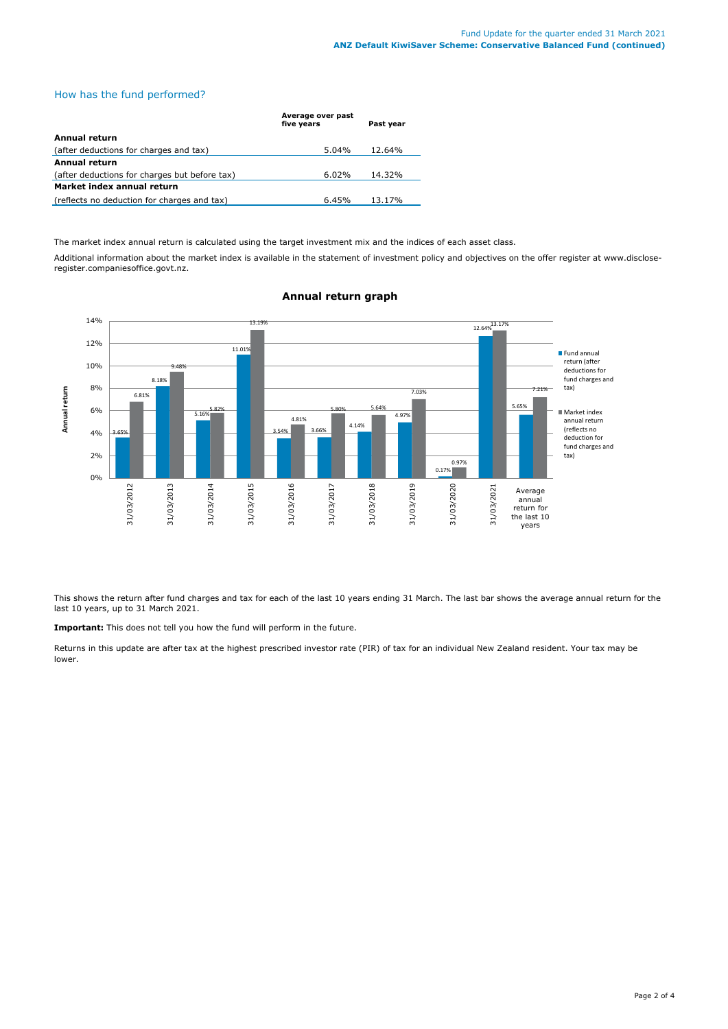### How has the fund performed?

|                                               | Average over past<br>five years | Past year |  |
|-----------------------------------------------|---------------------------------|-----------|--|
| Annual return                                 |                                 |           |  |
| (after deductions for charges and tax)        | $5.04\%$                        | 12.64%    |  |
| Annual return                                 |                                 |           |  |
| (after deductions for charges but before tax) | 6.02%                           | 14.32%    |  |
| Market index annual return                    |                                 |           |  |
| (reflects no deduction for charges and tax)   | 6.45%                           | 13.17%    |  |

The market index annual return is calculated using the target investment mix and the indices of each asset class.

Additional information about the market index is available in the statement of investment policy and objectives on the offer register at www.discloseregister.companiesoffice.govt.nz.



# **Annual return graph**

This shows the return after fund charges and tax for each of the last 10 years ending 31 March. The last bar shows the average annual return for the last 10 years, up to 31 March 2021.

**Important:** This does not tell you how the fund will perform in the future.

Returns in this update are after tax at the highest prescribed investor rate (PIR) of tax for an individual New Zealand resident. Your tax may be lower.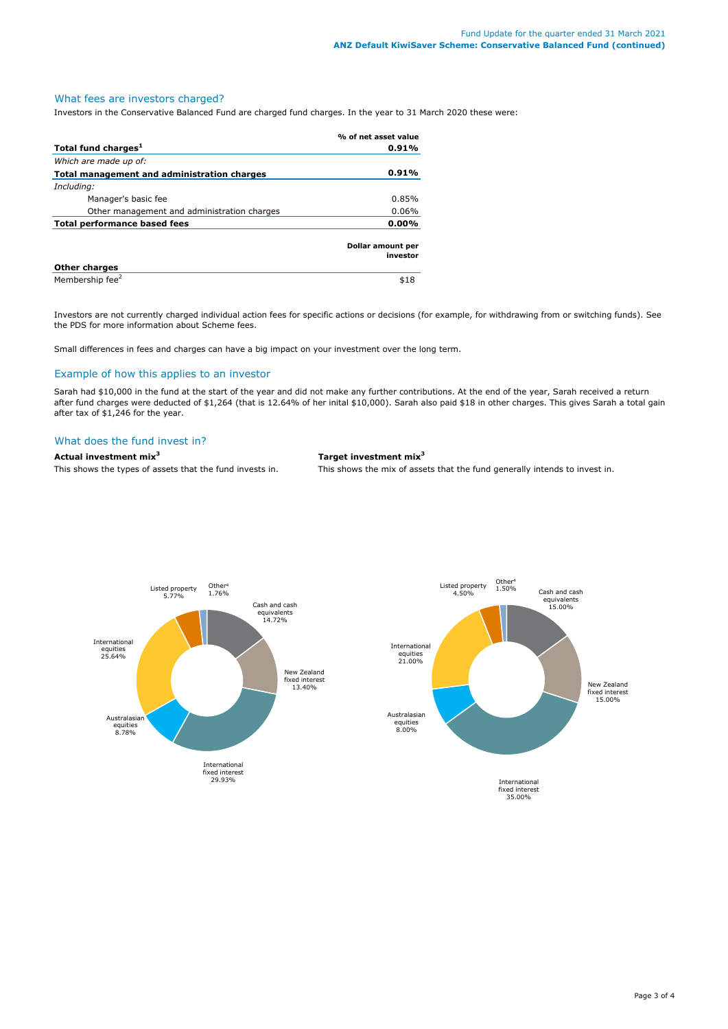# What fees are investors charged?

Investors in the Conservative Balanced Fund are charged fund charges. In the year to 31 March 2020 these were:

|                                             | % of net asset value          |
|---------------------------------------------|-------------------------------|
| Total fund charges <sup>1</sup>             | 0.91%                         |
| Which are made up of:                       |                               |
| Total management and administration charges | 0.91%                         |
| Including:                                  |                               |
| Manager's basic fee                         | 0.85%                         |
| Other management and administration charges | 0.06%                         |
| 0.00%<br>Total performance based fees       |                               |
|                                             | Dollar amount per<br>investor |
| <b>Other charges</b>                        |                               |
| Membership fee <sup>2</sup>                 | \$18                          |

Investors are not currently charged individual action fees for specific actions or decisions (for example, for withdrawing from or switching funds). See the PDS for more information about Scheme fees.

Small differences in fees and charges can have a big impact on your investment over the long term.

#### Example of how this applies to an investor

Sarah had \$10,000 in the fund at the start of the year and did not make any further contributions. At the end of the year, Sarah received a return after fund charges were deducted of \$1,264 (that is 12.64% of her inital \$10,000). Sarah also paid \$18 in other charges. This gives Sarah a total gain after tax of \$1,246 for the year.

#### What does the fund invest in?

**Actual investment mix<sup>3</sup> Target investment mix<sup>3</sup>**

This shows the types of assets that the fund invests in. This shows the mix of assets that the fund generally intends to invest in.